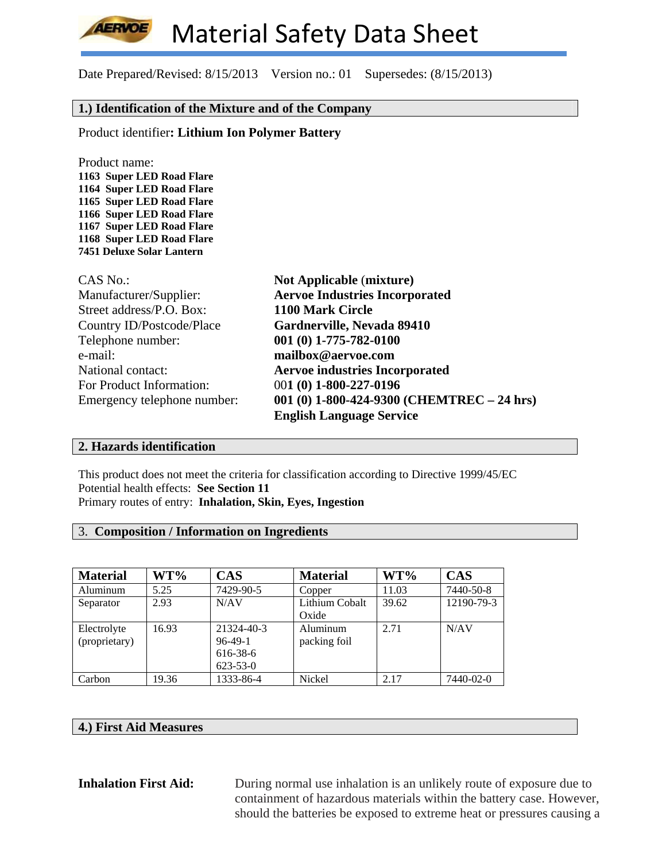

# **1.) Identification of the Mixture and of the Company**

Product identifier**: Lithium Ion Polymer Battery**

Product name: **1163 Super LED Road Flare 1164 Super LED Road Flare 1165 Super LED Road Flare 1166 Super LED Road Flare 1167 Super LED Road Flare 1168 Super LED Road Flare 7451 Deluxe Solar Lantern** 

| <b>CAS No.:</b>             | <b>Not Applicable (mixture)</b>              |
|-----------------------------|----------------------------------------------|
| Manufacturer/Supplier:      | <b>Aervoe Industries Incorporated</b>        |
| Street address/P.O. Box:    | 1100 Mark Circle                             |
| Country ID/Postcode/Place   | Gardnerville, Nevada 89410                   |
| Telephone number:           | 001 (0) 1-775-782-0100                       |
| e-mail:                     | mailbox@aervoe.com                           |
| National contact:           | <b>Aervoe industries Incorporated</b>        |
| For Product Information:    | 001 (0) 1-800-227-0196                       |
| Emergency telephone number: | 001 (0) 1-800-424-9300 (CHEMTREC $-$ 24 hrs) |
|                             | <b>English Language Service</b>              |

### **2. Hazards identification**

This product does not meet the criteria for classification according to Directive 1999/45/EC Potential health effects: **See Section 11** Primary routes of entry: **Inhalation, Skin, Eyes, Ingestion**

### 3. **Composition / Information on Ingredients**

| <b>Material</b> | $WT\%$ | <b>CAS</b>     | <b>Material</b> | $WT\%$ | <b>CAS</b> |
|-----------------|--------|----------------|-----------------|--------|------------|
| Aluminum        | 5.25   | 7429-90-5      | Copper          | 11.03  | 7440-50-8  |
| Separator       | 2.93   | N/AV           | Lithium Cobalt  | 39.62  | 12190-79-3 |
|                 |        |                | Oxide           |        |            |
| Electrolyte     | 16.93  | 21324-40-3     | Aluminum        | 2.71   | N/AV       |
| (proprietary)   |        | $96-49-1$      | packing foil    |        |            |
|                 |        | 616-38-6       |                 |        |            |
|                 |        | $623 - 53 - 0$ |                 |        |            |
| Carbon          | 19.36  | 1333-86-4      | Nickel          | 2.17   | 7440-02-0  |

### **4.) First Aid Measures**

**Inhalation First Aid:** During normal use inhalation is an unlikely route of exposure due to containment of hazardous materials within the battery case. However, should the batteries be exposed to extreme heat or pressures causing a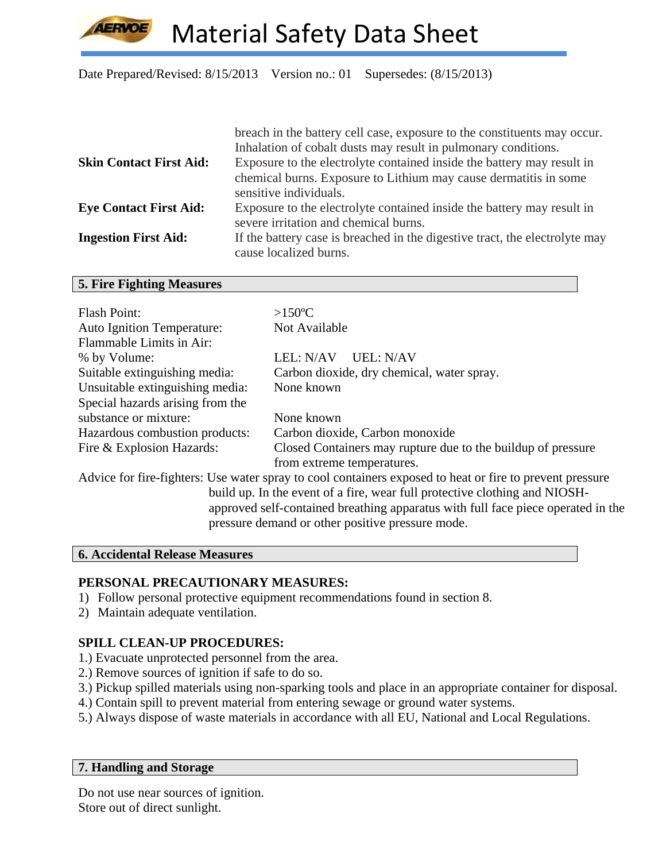

|                                | breach in the battery cell case, exposure to the constituents may occur.                                                                 |
|--------------------------------|------------------------------------------------------------------------------------------------------------------------------------------|
| <b>Skin Contact First Aid:</b> | Inhalation of cobalt dusts may result in pulmonary conditions.<br>Exposure to the electrolyte contained inside the battery may result in |
|                                | chemical burns. Exposure to Lithium may cause dermatitis in some                                                                         |
|                                | sensitive individuals.                                                                                                                   |
| <b>Eye Contact First Aid:</b>  | Exposure to the electrolyte contained inside the battery may result in<br>severe irritation and chemical burns.                          |
| <b>Ingestion First Aid:</b>    | If the battery case is breached in the digestive tract, the electrolyte may<br>cause localized burns.                                    |

#### **5. Fire Fighting Measures**

| <b>Flash Point:</b>                                                              | $>150^{\circ}$ C                                                                                         |  |  |  |
|----------------------------------------------------------------------------------|----------------------------------------------------------------------------------------------------------|--|--|--|
| <b>Auto Ignition Temperature:</b>                                                | Not Available                                                                                            |  |  |  |
| Flammable Limits in Air:                                                         |                                                                                                          |  |  |  |
| % by Volume:                                                                     | LEL: N/AV<br>UEL: N/AV                                                                                   |  |  |  |
| Suitable extinguishing media:                                                    | Carbon dioxide, dry chemical, water spray.                                                               |  |  |  |
| Unsuitable extinguishing media:                                                  | None known                                                                                               |  |  |  |
| Special hazards arising from the                                                 |                                                                                                          |  |  |  |
| substance or mixture:                                                            | None known                                                                                               |  |  |  |
| Hazardous combustion products:                                                   | Carbon dioxide, Carbon monoxide                                                                          |  |  |  |
| Fire & Explosion Hazards:                                                        | Closed Containers may rupture due to the buildup of pressure                                             |  |  |  |
|                                                                                  | from extreme temperatures.                                                                               |  |  |  |
|                                                                                  | Advice for fire-fighters: Use water spray to cool containers exposed to heat or fire to prevent pressure |  |  |  |
|                                                                                  | build up. In the event of a fire, wear full protective clothing and NIOSH-                               |  |  |  |
| approved self-contained breathing apparatus with full face piece operated in the |                                                                                                          |  |  |  |
|                                                                                  | pressure demand or other positive pressure mode.                                                         |  |  |  |

# **6. Accidental Release Measures**

### **PERSONAL PRECAUTIONARY MEASURES:**

- 1) Follow personal protective equipment recommendations found in section 8.
- 2) Maintain adequate ventilation.

# **SPILL CLEAN-UP PROCEDURES:**

- 1.) Evacuate unprotected personnel from the area.
- 2.) Remove sources of ignition if safe to do so.
- 3.) Pickup spilled materials using non-sparking tools and place in an appropriate container for disposal.
- 4.) Contain spill to prevent material from entering sewage or ground water systems.
- 5.) Always dispose of waste materials in accordance with all EU, National and Local Regulations.

# **7. Handling and Storage**

Do not use near sources of ignition. Store out of direct sunlight.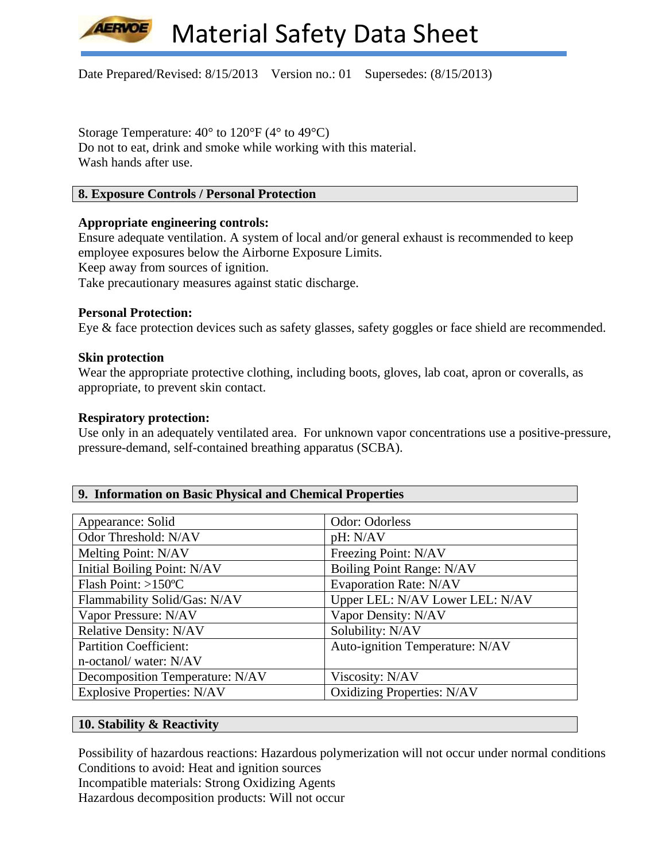

Storage Temperature: 40° to 120°F (4° to 49°C) Do not to eat, drink and smoke while working with this material. Wash hands after use.

# **8. Exposure Controls / Personal Protection**

### **Appropriate engineering controls:**

Ensure adequate ventilation. A system of local and/or general exhaust is recommended to keep employee exposures below the Airborne Exposure Limits.

Keep away from sources of ignition.

Take precautionary measures against static discharge.

### **Personal Protection:**

Eye & face protection devices such as safety glasses, safety goggles or face shield are recommended.

### **Skin protection**

Wear the appropriate protective clothing, including boots, gloves, lab coat, apron or coveralls, as appropriate, to prevent skin contact.

### **Respiratory protection:**

Use only in an adequately ventilated area. For unknown vapor concentrations use a positive-pressure, pressure-demand, self-contained breathing apparatus (SCBA).

|  |  |  |  | 9. Information on Basic Physical and Chemical Properties |  |  |
|--|--|--|--|----------------------------------------------------------|--|--|
|--|--|--|--|----------------------------------------------------------|--|--|

| Appearance: Solid                 | Odor: Odorless                    |
|-----------------------------------|-----------------------------------|
| Odor Threshold: N/AV              | pH: N/AV                          |
| Melting Point: N/AV               | Freezing Point: N/AV              |
| Initial Boiling Point: N/AV       | Boiling Point Range: N/AV         |
| Flash Point: $>150^{\circ}$ C     | <b>Evaporation Rate: N/AV</b>     |
| Flammability Solid/Gas: N/AV      | Upper LEL: N/AV Lower LEL: N/AV   |
| Vapor Pressure: N/AV              | Vapor Density: N/AV               |
| <b>Relative Density: N/AV</b>     | Solubility: N/AV                  |
| <b>Partition Coefficient:</b>     | Auto-ignition Temperature: N/AV   |
| n-octanol/water: N/AV             |                                   |
| Decomposition Temperature: N/AV   | Viscosity: N/AV                   |
| <b>Explosive Properties: N/AV</b> | <b>Oxidizing Properties: N/AV</b> |

# **10. Stability & Reactivity**

Possibility of hazardous reactions: Hazardous polymerization will not occur under normal conditions Conditions to avoid: Heat and ignition sources Incompatible materials: Strong Oxidizing Agents

Hazardous decomposition products: Will not occur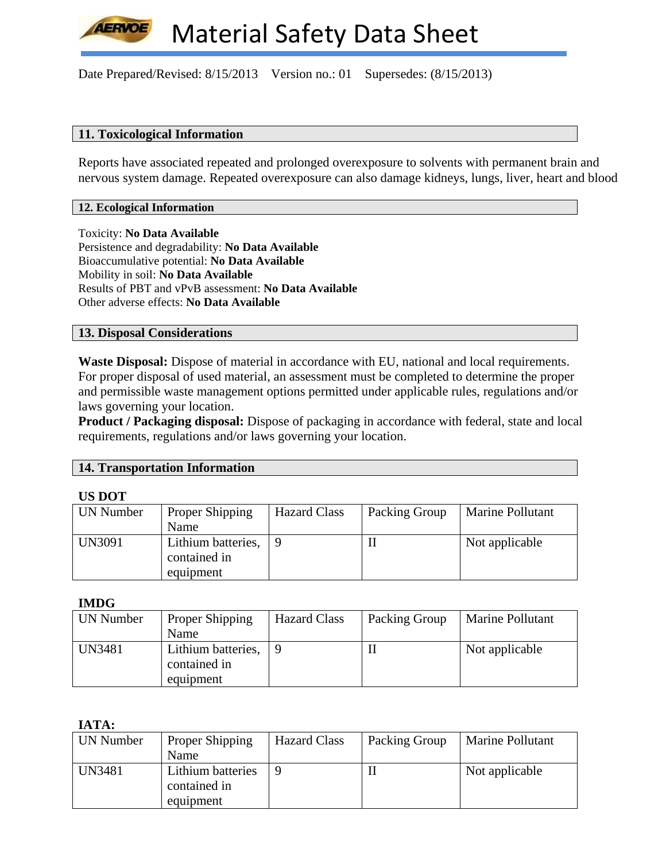

### **11. Toxicological Information**

Reports have associated repeated and prolonged overexposure to solvents with permanent brain and nervous system damage. Repeated overexposure can also damage kidneys, lungs, liver, heart and blood

#### **12. Ecological Information**

Toxicity: **No Data Available** Persistence and degradability: **No Data Available** Bioaccumulative potential: **No Data Available** Mobility in soil: **No Data Available** Results of PBT and vPvB assessment: **No Data Available** Other adverse effects: **No Data Available**

### **13. Disposal Considerations**

**Waste Disposal:** Dispose of material in accordance with EU, national and local requirements. For proper disposal of used material, an assessment must be completed to determine the proper and permissible waste management options permitted under applicable rules, regulations and/or laws governing your location.

**Product / Packaging disposal:** Dispose of packaging in accordance with federal, state and local requirements, regulations and/or laws governing your location.

### **14. Transportation Information**

#### **US DOT**

| UN Number     | Proper Shipping<br>Name                         | <b>Hazard Class</b> | Packing Group | Marine Pollutant |
|---------------|-------------------------------------------------|---------------------|---------------|------------------|
| <b>UN3091</b> | Lithium batteries,<br>contained in<br>equipment |                     |               | Not applicable   |

**IMDG** 

| UN Number     | Proper Shipping    | <b>Hazard Class</b> | Packing Group | Marine Pollutant |
|---------------|--------------------|---------------------|---------------|------------------|
|               | Name               |                     |               |                  |
| <b>UN3481</b> | Lithium batteries, |                     |               | Not applicable   |
|               | contained in       |                     |               |                  |
|               | equipment          |                     |               |                  |

### **IATA:**

| UN Number | Proper Shipping   | <b>Hazard Class</b> | Packing Group | Marine Pollutant |
|-----------|-------------------|---------------------|---------------|------------------|
|           | Name              |                     |               |                  |
| UN3481    | Lithium batteries |                     | H             | Not applicable   |
|           | contained in      |                     |               |                  |
|           | equipment         |                     |               |                  |